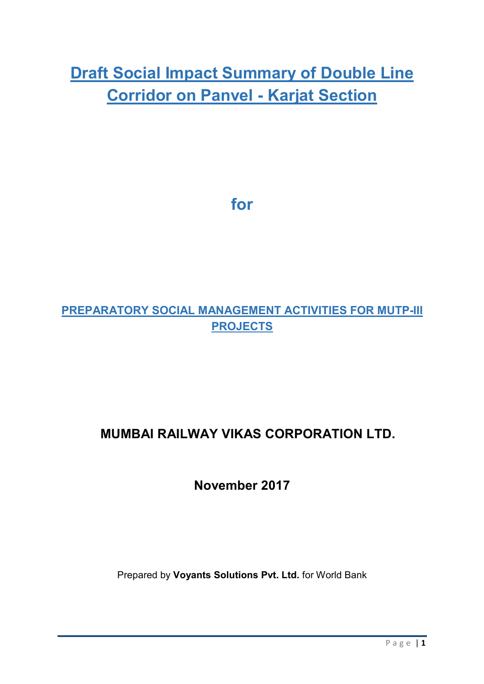# **Draft Social Impact Summary of Double Line Corridor on Panvel - Karjat Section**

## **for**

## **PREPARATORY SOCIAL MANAGEMENT ACTIVITIES FOR MUTP-III PROJECTS**

## **MUMBAI RAILWAY VIKAS CORPORATION LTD.**

**November 2017** 

Prepared by **Voyants Solutions Pvt. Ltd.** for World Bank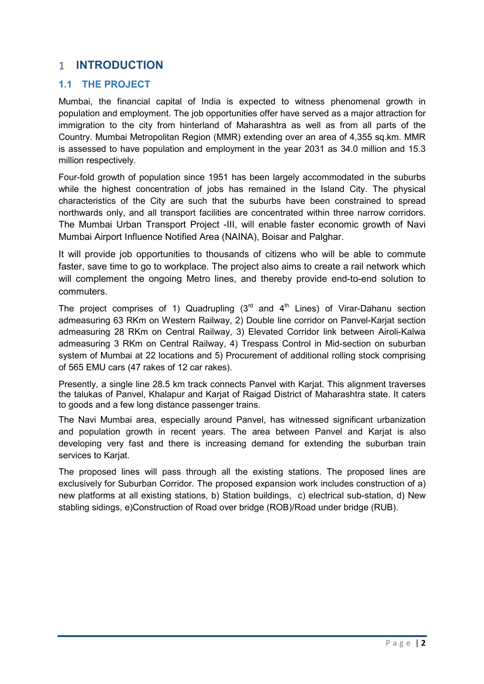### 1 **INTRODUCTION**

#### **1.1 THE PROJECT**

Mumbai, the financial capital of India is expected to witness phenomenal growth in population and employment. The job opportunities offer have served as a major attraction for immigration to the city from hinterland of Maharashtra as well as from all parts of the Country. Mumbai Metropolitan Region (MMR) extending over an area of 4,355 sq.km. MMR is assessed to have population and employment in the year 2031 as 34.0 million and 15.3 million respectively.

Four-fold growth of population since 1951 has been largely accommodated in the suburbs while the highest concentration of jobs has remained in the Island City. The physical characteristics of the City are such that the suburbs have been constrained to spread northwards only, and all transport facilities are concentrated within three narrow corridors. The Mumbai Urban Transport Project -III, will enable faster economic growth of Navi Mumbai Airport Influence Notified Area (NAINA), Boisar and Palghar.

It will provide job opportunities to thousands of citizens who will be able to commute faster, save time to go to workplace. The project also aims to create a rail network which will complement the ongoing Metro lines, and thereby provide end-to-end solution to commuters.

The project comprises of 1) Quadrupling  $(3<sup>rd</sup>$  and  $4<sup>th</sup>$  Lines) of Virar-Dahanu section admeasuring 63 RKm on Western Railway, 2) Double line corridor on Panvel-Karjat section admeasuring 28 RKm on Central Railway, 3) Elevated Corridor link between Airoli-Kalwa admeasuring 3 RKm on Central Railway, 4) Trespass Control in Mid-section on suburban system of Mumbai at 22 locations and 5) Procurement of additional rolling stock comprising of 565 EMU cars (47 rakes of 12 car rakes).

Presently, a single line 28.5 km track connects Panvel with Karjat. This alignment traverses the talukas of Panvel, Khalapur and Karjat of Raigad District of Maharashtra state. It caters to goods and a few long distance passenger trains.

The Navi Mumbai area, especially around Panvel, has witnessed significant urbanization and population growth in recent years. The area between Panvel and Karjat is also developing very fast and there is increasing demand for extending the suburban train services to Karjat.

The proposed lines will pass through all the existing stations. The proposed lines are exclusively for Suburban Corridor. The proposed expansion work includes construction of a) new platforms at all existing stations, b) Station buildings, c) electrical sub-station, d) New stabling sidings, e)Construction of Road over bridge (ROB)/Road under bridge (RUB).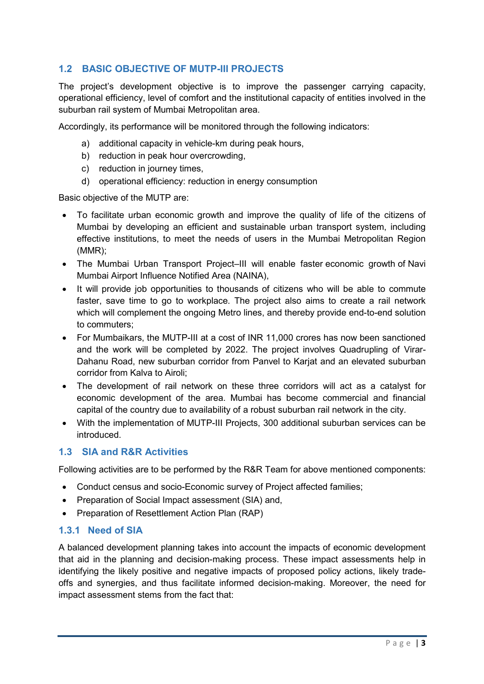#### **1.2 BASIC OBJECTIVE OF MUTP-III PROJECTS**

The project's development objective is to improve the passenger carrying capacity, operational efficiency, level of comfort and the institutional capacity of entities involved in the suburban rail system of Mumbai Metropolitan area.

Accordingly, its performance will be monitored through the following indicators:

- a) additional capacity in vehicle-km during peak hours,
- b) reduction in peak hour overcrowding,
- c) reduction in journey times,
- d) operational efficiency: reduction in energy consumption

Basic objective of the MUTP are:

- To facilitate urban economic growth and improve the quality of life of the citizens of Mumbai by developing an efficient and sustainable urban transport system, including effective institutions, to meet the needs of users in the Mumbai Metropolitan Region (MMR);
- The Mumbai Urban Transport Project–III will enable faster economic growth of Navi Mumbai Airport Influence Notified Area (NAINA),
- It will provide job opportunities to thousands of citizens who will be able to commute faster, save time to go to workplace. The project also aims to create a rail network which will complement the ongoing Metro lines, and thereby provide end-to-end solution to commuters;
- For Mumbaikars, the MUTP-III at a cost of INR 11,000 crores has now been sanctioned and the work will be completed by 2022. The project involves Quadrupling of Virar-Dahanu Road, new suburban corridor from Panvel to Karjat and an elevated suburban corridor from Kalva to Airoli;
- The development of rail network on these three corridors will act as a catalyst for economic development of the area. Mumbai has become commercial and financial capital of the country due to availability of a robust suburban rail network in the city.
- With the implementation of MUTP-III Projects, 300 additional suburban services can be introduced.

#### **1.3 SIA and R&R Activities**

Following activities are to be performed by the R&R Team for above mentioned components:

- Conduct census and socio-Economic survey of Project affected families;
- Preparation of Social Impact assessment (SIA) and,
- Preparation of Resettlement Action Plan (RAP)

#### **1.3.1 Need of SIA**

A balanced development planning takes into account the impacts of economic development that aid in the planning and decision-making process. These impact assessments help in identifying the likely positive and negative impacts of proposed policy actions, likely tradeoffs and synergies, and thus facilitate informed decision-making. Moreover, the need for impact assessment stems from the fact that: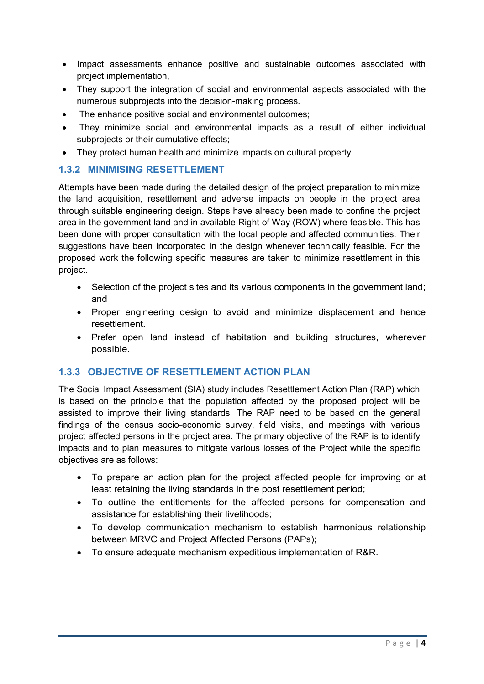- Impact assessments enhance positive and sustainable outcomes associated with project implementation,
- They support the integration of social and environmental aspects associated with the numerous subprojects into the decision-making process.
- The enhance positive social and environmental outcomes;
- They minimize social and environmental impacts as a result of either individual subprojects or their cumulative effects;
- They protect human health and minimize impacts on cultural property.

#### **1.3.2 MINIMISING RESETTLEMENT**

Attempts have been made during the detailed design of the project preparation to minimize the land acquisition, resettlement and adverse impacts on people in the project area through suitable engineering design. Steps have already been made to confine the project area in the government land and in available Right of Way (ROW) where feasible. This has been done with proper consultation with the local people and affected communities. Their suggestions have been incorporated in the design whenever technically feasible. For the proposed work the following specific measures are taken to minimize resettlement in this project.

- Selection of the project sites and its various components in the government land; and
- Proper engineering design to avoid and minimize displacement and hence resettlement.
- Prefer open land instead of habitation and building structures, wherever possible.

#### **1.3.3 OBJECTIVE OF RESETTLEMENT ACTION PLAN**

The Social Impact Assessment (SIA) study includes Resettlement Action Plan (RAP) which is based on the principle that the population affected by the proposed project will be assisted to improve their living standards. The RAP need to be based on the general findings of the census socio-economic survey, field visits, and meetings with various project affected persons in the project area. The primary objective of the RAP is to identify impacts and to plan measures to mitigate various losses of the Project while the specific objectives are as follows:

- To prepare an action plan for the project affected people for improving or at least retaining the living standards in the post resettlement period;
- To outline the entitlements for the affected persons for compensation and assistance for establishing their livelihoods;
- To develop communication mechanism to establish harmonious relationship between MRVC and Project Affected Persons (PAPs);
- To ensure adequate mechanism expeditious implementation of R&R.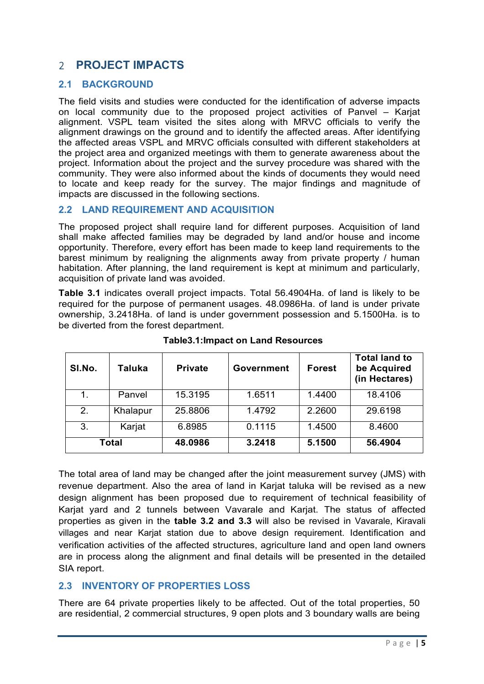### 2 **PROJECT IMPACTS**

#### **2.1 BACKGROUND**

The field visits and studies were conducted for the identification of adverse impacts on local community due to the proposed project activities of Panvel – Karjat alignment. VSPL team visited the sites along with MRVC officials to verify the alignment drawings on the ground and to identify the affected areas. After identifying the affected areas VSPL and MRVC officials consulted with different stakeholders at the project area and organized meetings with them to generate awareness about the project. Information about the project and the survey procedure was shared with the community. They were also informed about the kinds of documents they would need to locate and keep ready for the survey. The major findings and magnitude of impacts are discussed in the following sections.

#### **2.2 LAND REQUIREMENT AND ACQUISITION**

The proposed project shall require land for different purposes. Acquisition of land shall make affected families may be degraded by land and/or house and income opportunity. Therefore, every effort has been made to keep land requirements to the barest minimum by realigning the alignments away from private property / human habitation. After planning, the land requirement is kept at minimum and particularly, acquisition of private land was avoided.

**Table 3.1** indicates overall project impacts. Total 56.4904Ha. of land is likely to be required for the purpose of permanent usages. 48.0986Ha. of land is under private ownership, 3.2418Ha. of land is under government possession and 5.1500Ha. is to be diverted from the forest department.

| SI.No. | <b>Taluka</b> | <b>Private</b> | <b>Government</b> | <b>Forest</b> | <b>Total land to</b><br>be Acquired<br>(in Hectares) |  |
|--------|---------------|----------------|-------------------|---------------|------------------------------------------------------|--|
| 1.     | Panvel        | 15.3195        | 1.6511            | 1.4400        | 18.4106                                              |  |
| 2.     | Khalapur      | 25.8806        | 1.4792            | 2.2600        | 29.6198                                              |  |
| 3.     | Karjat        | 6.8985         | 0.1115            | 1.4500        | 8.4600                                               |  |
| Total  |               | 48.0986        | 3.2418            | 5.1500        | 56.4904                                              |  |

**Table3.1:Impact on Land Resources**

The total area of land may be changed after the joint measurement survey (JMS) with revenue department. Also the area of land in Karjat taluka will be revised as a new design alignment has been proposed due to requirement of technical feasibility of Karjat yard and 2 tunnels between Vavarale and Karjat. The status of affected properties as given in the **table 3.2 and 3.3** will also be revised in Vavarale, Kiravali villages and near Karjat station due to above design requirement. Identification and verification activities of the affected structures, agriculture land and open land owners are in process along the alignment and final details will be presented in the detailed SIA report.

#### **2.3 INVENTORY OF PROPERTIES LOSS**

There are 64 private properties likely to be affected. Out of the total properties, 50 are residential, 2 commercial structures, 9 open plots and 3 boundary walls are being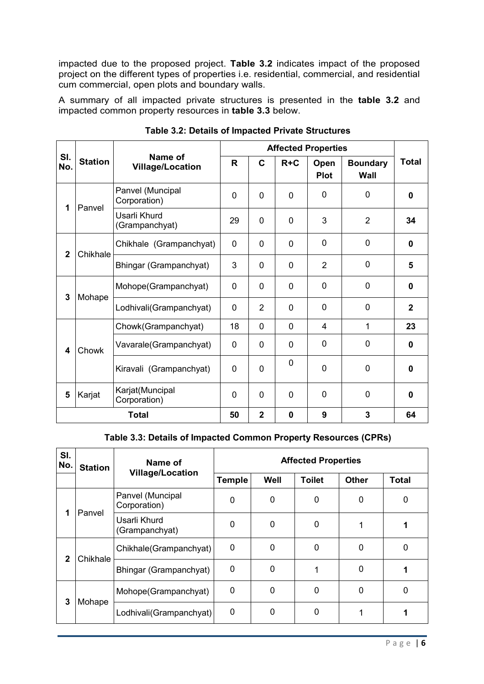impacted due to the proposed project. **Table 3.2** indicates impact of the proposed project on the different types of properties i.e. residential, commercial, and residential cum commercial, open plots and boundary walls.

A summary of all impacted private structures is presented in the **table 3.2** and impacted common property resources in **table 3.3** below.

| SI.<br>No.     | <b>Station</b> | Name of<br><b>Village/Location</b> |                |                |                |                     |                                |                |
|----------------|----------------|------------------------------------|----------------|----------------|----------------|---------------------|--------------------------------|----------------|
|                |                |                                    | R              | C              | $R+C$          | Open<br><b>Plot</b> | <b>Boundary</b><br><b>Wall</b> | <b>Total</b>   |
| 1              | Panvel         | Panvel (Muncipal<br>Corporation)   | $\mathbf 0$    | 0              | $\overline{0}$ | 0                   | $\mathbf 0$                    | 0              |
|                |                | Usarli Khurd<br>(Grampanchyat)     | 29             | $\Omega$       | $\Omega$       | 3                   | $\overline{2}$                 | 34             |
| $\overline{2}$ | Chikhale       | Chikhale (Grampanchyat)            | 0              | 0              | 0              | 0                   | $\mathbf 0$                    | $\bf{0}$       |
|                |                | Bhingar (Grampanchyat)             | 3              | $\Omega$       | $\Omega$       | $\overline{2}$      | $\mathbf 0$                    | 5              |
| 3              | Mohape         | Mohope(Grampanchyat)               | $\mathbf 0$    | $\Omega$       | $\Omega$       | $\mathbf 0$         | 0                              | $\bf{0}$       |
|                |                | Lodhivali(Grampanchyat)            | $\mathbf{0}$   | $\overline{2}$ | $\mathbf 0$    | 0                   | $\mathbf 0$                    | $\overline{2}$ |
| 4              | Chowk          | Chowk(Grampanchyat)                | 18             | 0              | $\mathbf 0$    | $\overline{4}$      | 1                              | 23             |
|                |                | Vavarale(Grampanchyat)             | $\mathbf 0$    | 0              | $\mathbf 0$    | 0                   | $\mathbf 0$                    | 0              |
|                |                | Kiravali (Grampanchyat)            | $\Omega$       | 0              | $\overline{0}$ | $\mathbf 0$         | $\mathbf 0$                    | $\bf{0}$       |
| 5              | Karjat         | Karjat(Muncipal<br>Corporation)    | $\overline{0}$ | 0              | $\overline{0}$ | $\mathbf 0$         | $\mathbf 0$                    | 0              |
| <b>Total</b>   |                | 50                                 | $\mathbf{2}$   | $\bf{0}$       | 9              | 3                   | 64                             |                |

**Table 3.2: Details of Impacted Private Structures** 

#### **Table 3.3: Details of Impacted Common Property Resources (CPRs)**

| SI.<br>No. | <b>Station</b> | Name of<br><b>Village/Location</b> | <b>Affected Properties</b> |          |               |              |       |  |
|------------|----------------|------------------------------------|----------------------------|----------|---------------|--------------|-------|--|
|            |                |                                    | Temple                     | Well     | <b>Toilet</b> | <b>Other</b> | Total |  |
| 1          | Panvel         | Panvel (Muncipal<br>Corporation)   | $\Omega$                   | 0        | 0             | 0            | 0     |  |
|            |                | Usarli Khurd<br>(Grampanchyat)     | 0                          | 0        | 0             |              |       |  |
| 2          | Chikhale       | Chikhale(Grampanchyat)             | $\Omega$                   | $\Omega$ | 0             | 0            | 0     |  |
|            |                | Bhingar (Grampanchyat)             | 0                          | 0        |               | 0            |       |  |
| 3          | Mohape         | Mohope(Grampanchyat)               | $\Omega$                   | 0        | 0             | 0            | 0     |  |
|            |                | Lodhivali(Grampanchyat)            | $\Omega$                   | 0        | 0             |              |       |  |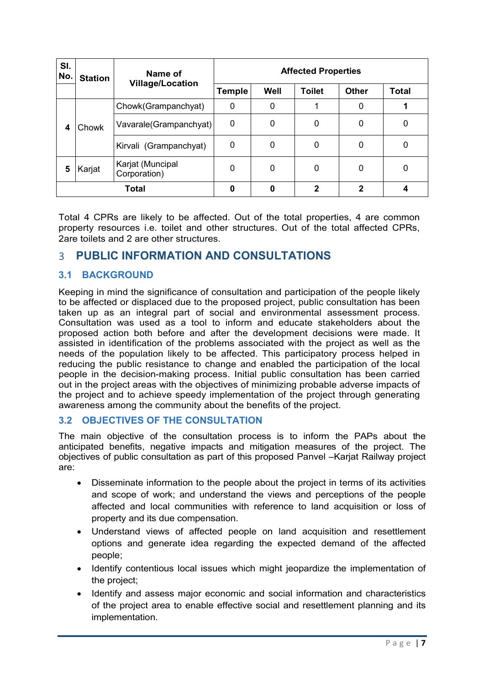| SI.<br>No. | <b>Station</b> | Name of<br><b>Village/Location</b> | <b>Affected Properties</b> |      |               |              |              |  |  |
|------------|----------------|------------------------------------|----------------------------|------|---------------|--------------|--------------|--|--|
|            |                |                                    | Temple                     | Well | <b>Toilet</b> | <b>Other</b> | <b>Total</b> |  |  |
| 4          | Chowk          | Chowk(Grampanchyat)                |                            | 0    |               | 0            |              |  |  |
|            |                | Vavarale(Grampanchyat)             | $\Omega$                   | 0    | 0             | 0            | O            |  |  |
|            |                | Kirvali (Grampanchyat)             | 0                          | 0    | 0             | 0            | 0            |  |  |
| 5          | Karjat         | Karjat (Muncipal<br>Corporation)   | 0                          | 0    | 0             | 0            | 0            |  |  |
| Total      |                |                                    | ŋ                          | Ω    | 2             | າ            |              |  |  |

Total 4 CPRs are likely to be affected. Out of the total properties, 4 are common property resources i.e. toilet and other structures. Out of the total affected CPRs, 2are toilets and 2 are other structures.

### 3 **PUBLIC INFORMATION AND CONSULTATIONS**

#### **3.1 BACKGROUND**

Keeping in mind the significance of consultation and participation of the people likely to be affected or displaced due to the proposed project, public consultation has been taken up as an integral part of social and environmental assessment process. Consultation was used as a tool to inform and educate stakeholders about the proposed action both before and after the development decisions were made. It assisted in identification of the problems associated with the project as well as the needs of the population likely to be affected. This participatory process helped in reducing the public resistance to change and enabled the participation of the local people in the decision-making process. Initial public consultation has been carried out in the project areas with the objectives of minimizing probable adverse impacts of the project and to achieve speedy implementation of the project through generating awareness among the community about the benefits of the project.

#### **3.2 OBJECTIVES OF THE CONSULTATION**

The main objective of the consultation process is to inform the PAPs about the anticipated benefits, negative impacts and mitigation measures of the project. The objectives of public consultation as part of this proposed Panvel –Karjat Railway project are:

- Disseminate information to the people about the project in terms of its activities and scope of work; and understand the views and perceptions of the people affected and local communities with reference to land acquisition or loss of property and its due compensation.
- Understand views of affected people on land acquisition and resettlement options and generate idea regarding the expected demand of the affected people;
- Identify contentious local issues which might jeopardize the implementation of the project;
- Identify and assess major economic and social information and characteristics of the project area to enable effective social and resettlement planning and its implementation.